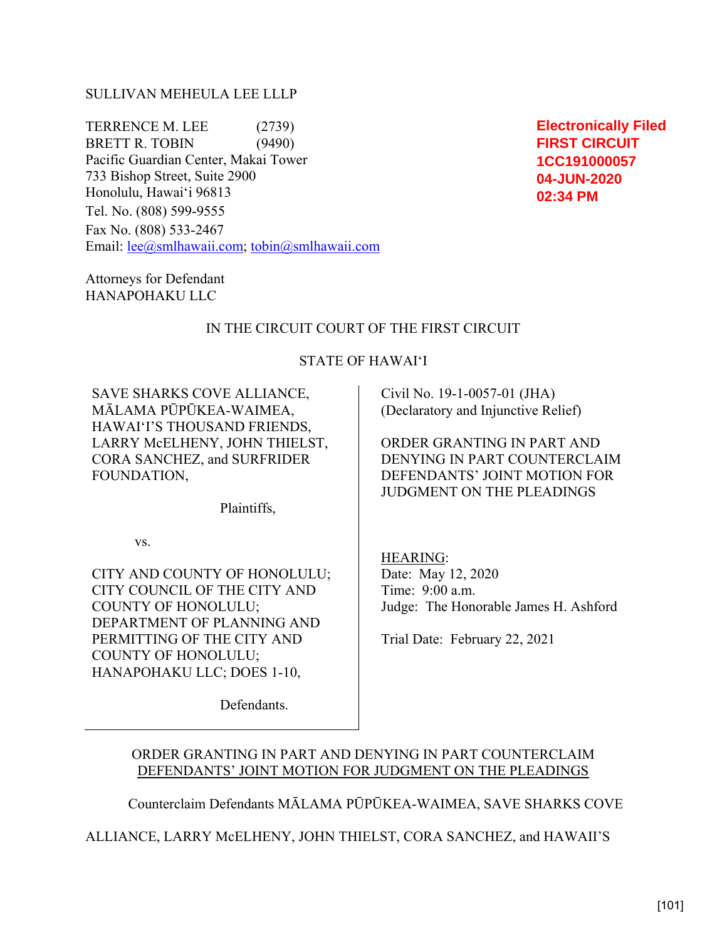## SULLIVAN MEHEULA LEE LLLP

TERRENCE M. LEE (2739) BRETT R. TOBIN (9490) Pacific Guardian Center, Makai Tower 733 Bishop Street, Suite 2900 Honolulu, Hawai'i 96813 Tel. No. (808) 599-9555

Fax No. (808) 533-2467 Email: lee@smlhawaii.com; tobin@smlhawaii.com

Attorneys for Defendant HANAPOHAKU LLC

## IN THE CIRCUIT COURT OF THE FIRST CIRCUIT

## STATE OF HAWAI'I

SAVE SHARKS COVE ALLIANCE, MĀLAMA PŪPŪKEA-WAIMEA, HAWAI'I'S THOUSAND FRIENDS, LARRY McELHENY, JOHN THIELST, CORA SANCHEZ, and SURFRIDER FOUNDATION,

Plaintiffs,

vs.

CITY AND COUNTY OF HONOLULU; CITY COUNCIL OF THE CITY AND COUNTY OF HONOLULU; DEPARTMENT OF PLANNING AND PERMITTING OF THE CITY AND COUNTY OF HONOLULU; HANAPOHAKU LLC; DOES 1-10,

Defendants.

 Civil No. 19-1-0057-01 (JHA) (Declaratory and Injunctive Relief)

ORDER GRANTING IN PART AND DENYING IN PART COUNTERCLAIM DEFENDANTS' JOINT MOTION FOR JUDGMENT ON THE PLEADINGS

HEARING: Date: May 12, 2020 Time: 9:00 a.m. Judge: The Honorable James H. Ashford

Trial Date: February 22, 2021

# ORDER GRANTING IN PART AND DENYING IN PART COUNTERCLAIM DEFENDANTS' JOINT MOTION FOR JUDGMENT ON THE PLEADINGS

Counterclaim Defendants MĀLAMA PŪPŪKEA-WAIMEA, SAVE SHARKS COVE

ALLIANCE, LARRY McELHENY, JOHN THIELST, CORA SANCHEZ, and HAWAII'S

**Electronically Filed FIRST CIRCUIT 1CC191000057 04-JUN-2020 02:34 PM**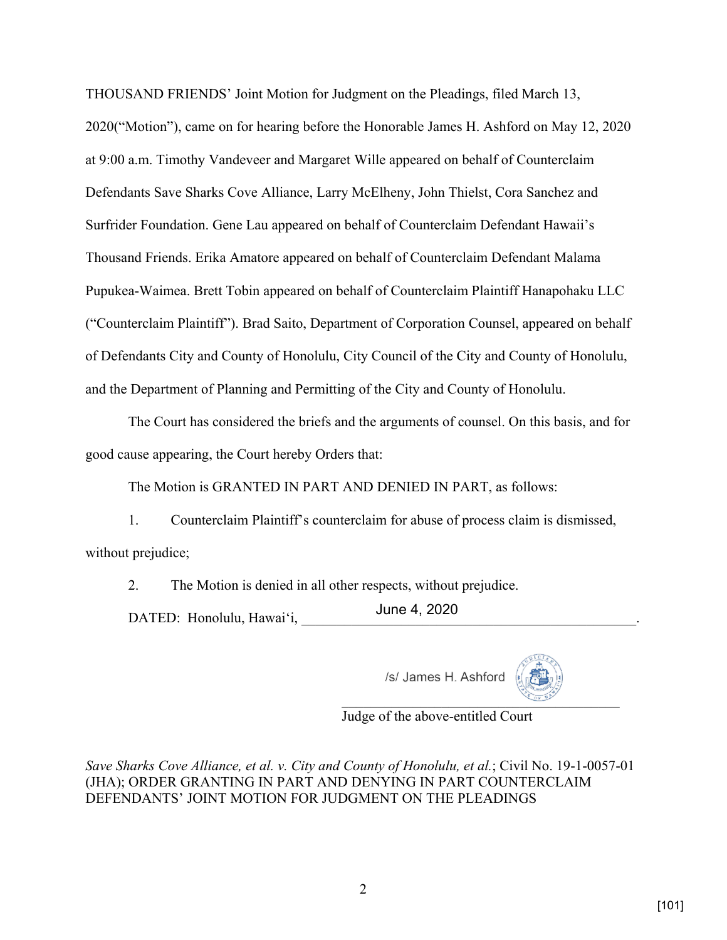THOUSAND FRIENDS' Joint Motion for Judgment on the Pleadings, filed March 13, 2020("Motion"), came on for hearing before the Honorable James H. Ashford on May 12, 2020 at 9:00 a.m. Timothy Vandeveer and Margaret Wille appeared on behalf of Counterclaim Defendants Save Sharks Cove Alliance, Larry McElheny, John Thielst, Cora Sanchez and Surfrider Foundation. Gene Lau appeared on behalf of Counterclaim Defendant Hawaii's Thousand Friends. Erika Amatore appeared on behalf of Counterclaim Defendant Malama Pupukea-Waimea. Brett Tobin appeared on behalf of Counterclaim Plaintiff Hanapohaku LLC ("Counterclaim Plaintiff"). Brad Saito, Department of Corporation Counsel, appeared on behalf of Defendants City and County of Honolulu, City Council of the City and County of Honolulu, and the Department of Planning and Permitting of the City and County of Honolulu.

The Court has considered the briefs and the arguments of counsel. On this basis, and for good cause appearing, the Court hereby Orders that:

The Motion is GRANTED IN PART AND DENIED IN PART, as follows:

1. Counterclaim Plaintiff's counterclaim for abuse of process claim is dismissed, without prejudice;

2. The Motion is denied in all other respects, without prejudice.

DATED: Honolulu, Hawai'i, \_\_\_\_\_\_\_\_\_\_\_\_\_\_\_\_\_\_\_\_\_\_\_\_\_\_\_\_\_\_\_\_\_\_\_\_\_\_\_\_\_\_\_\_\_\_\_. June 4, 2020

/s/ James H. Ashford



Judge of the above-entitled Court

*Save Sharks Cove Alliance, et al. v. City and County of Honolulu, et al.*; Civil No. 19-1-0057-01 (JHA); ORDER GRANTING IN PART AND DENYING IN PART COUNTERCLAIM DEFENDANTS' JOINT MOTION FOR JUDGMENT ON THE PLEADINGS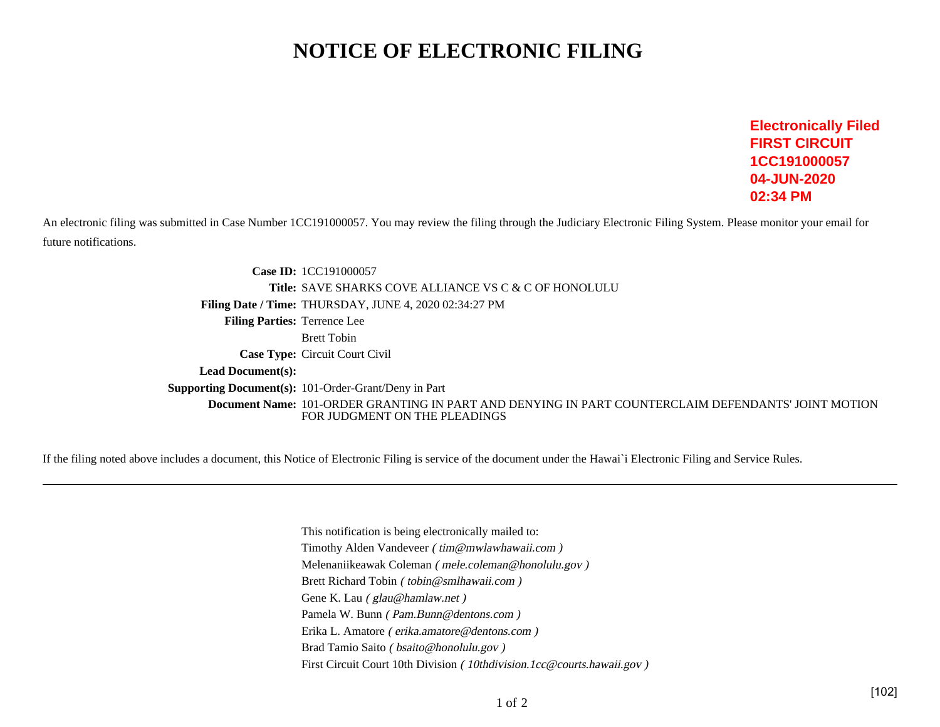# **NOTICE OF ELECTRONIC FILING**

**Electronically FiledFIRST CIRCUIT 1CC19100005704-JUN-202002:34 PM**

An electronic filing was submitted in Case Number 1CC191000057. You may review the filing through the Judiciary Electronic Filing System. Please monitor your email forfuture notifications.

> **Case ID:** 1CC191000057 **Title:** SAVE SHARKS COVE ALLIANCE VS C & C OF HONOLULU**Filing Date / Time:** THURSDAY, JUNE 4, 2020 02:34:27 PM**Filing Parties:** Terrence LeeBrett Tobin **Case Type:** Circuit Court Civil **Lead Document(s):Supporting Document(s):** 101-Order-Grant/Deny in Part **Document Name:** 101-ORDER GRANTING IN PART AND DENYING IN PART COUNTERCLAIM DEFENDANTS' JOINT MOTIONFOR JUDGMENT ON THE PLEADINGS

If the filing noted above includes a document, this Notice of Electronic Filing is service of the document under the Hawai`i Electronic Filing and Service Rules.

This notification is being electronically mailed to:Timothy Alden Vandeveer ( tim@mwlawhawaii.com )Melenaniikeawak Coleman ( mele.coleman@honolulu.gov )Brett Richard Tobin ( tobin@smlhawaii.com )Gene K. Lau ( glau@hamlaw.net ) Pamela W. Bunn ( Pam.Bunn@dentons.com )Erika L. Amatore ( erika.amatore@dentons.com )Brad Tamio Saito ( bsaito@honolulu.gov )First Circuit Court 10th Division (10thdivision.1cc@courts.hawaii.gov)